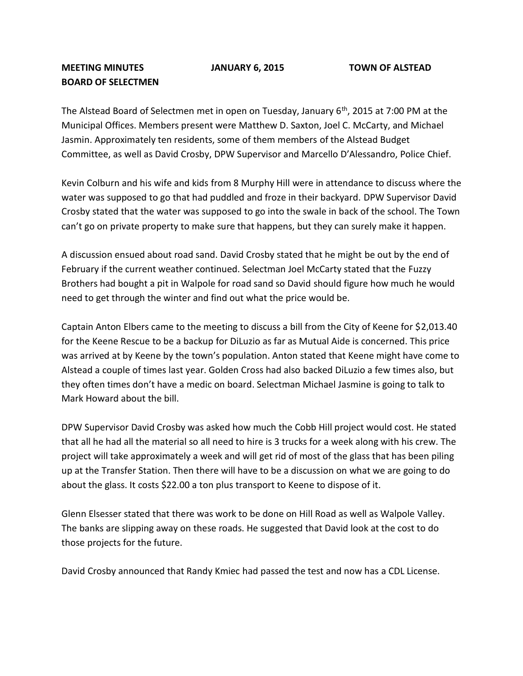**MEETING MINUTES JANUARY 6, 2015 TOWN OF ALSTEAD**

## **BOARD OF SELECTMEN**

The Alstead Board of Selectmen met in open on Tuesday, January 6<sup>th</sup>, 2015 at 7:00 PM at the Municipal Offices. Members present were Matthew D. Saxton, Joel C. McCarty, and Michael Jasmin. Approximately ten residents, some of them members of the Alstead Budget Committee, as well as David Crosby, DPW Supervisor and Marcello D'Alessandro, Police Chief.

Kevin Colburn and his wife and kids from 8 Murphy Hill were in attendance to discuss where the water was supposed to go that had puddled and froze in their backyard. DPW Supervisor David Crosby stated that the water was supposed to go into the swale in back of the school. The Town can't go on private property to make sure that happens, but they can surely make it happen.

A discussion ensued about road sand. David Crosby stated that he might be out by the end of February if the current weather continued. Selectman Joel McCarty stated that the Fuzzy Brothers had bought a pit in Walpole for road sand so David should figure how much he would need to get through the winter and find out what the price would be.

Captain Anton Elbers came to the meeting to discuss a bill from the City of Keene for \$2,013.40 for the Keene Rescue to be a backup for DiLuzio as far as Mutual Aide is concerned. This price was arrived at by Keene by the town's population. Anton stated that Keene might have come to Alstead a couple of times last year. Golden Cross had also backed DiLuzio a few times also, but they often times don't have a medic on board. Selectman Michael Jasmine is going to talk to Mark Howard about the bill.

DPW Supervisor David Crosby was asked how much the Cobb Hill project would cost. He stated that all he had all the material so all need to hire is 3 trucks for a week along with his crew. The project will take approximately a week and will get rid of most of the glass that has been piling up at the Transfer Station. Then there will have to be a discussion on what we are going to do about the glass. It costs \$22.00 a ton plus transport to Keene to dispose of it.

Glenn Elsesser stated that there was work to be done on Hill Road as well as Walpole Valley. The banks are slipping away on these roads. He suggested that David look at the cost to do those projects for the future.

David Crosby announced that Randy Kmiec had passed the test and now has a CDL License.